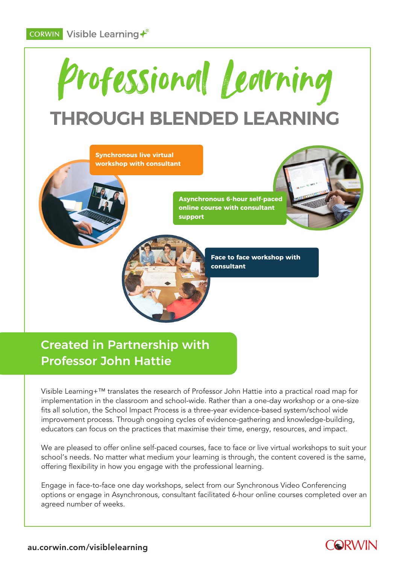# Professional Learning **THROUGH BLENDED LEARNING**



**Face to face workshop with consultant**

## Created in Partnership with Professor John Hattie

**Synchronous live virtual workshop with consultant** 

Visible Learning+™ translates the research of Professor John Hattie into a practical road map for implementation in the classroom and school-wide. Rather than a one-day workshop or a one-size fits all solution, the School Impact Process is a three-year evidence-based system/school wide improvement process. Through ongoing cycles of evidence-gathering and knowledge-building, educators can focus on the practices that maximise their time, energy, resources, and impact.

We are pleased to offer online self-paced courses, face to face or live virtual workshops to suit your school's needs. No matter what medium your learning is through, the content covered is the same, offering flexibility in how you engage with the professional learning.

Engage in face-to-face one day workshops, select from our Synchronous Video Conferencing options or engage in Asynchronous, consultant facilitated 6-hour online courses completed over an agreed number of weeks.

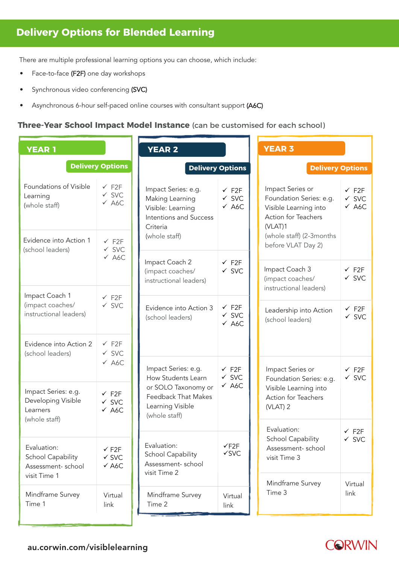## **Delivery Options for Blended Learning**

There are multiple professional learning options you can choose, which include:

- Face-to-face (F2F) one day workshops
- Synchronous video conferencing (SVC)
- Asynchronous 6-hour self-paced online courses with consultant support (A6C)

#### **Three-Year School Impact Model Instance** (can be customised for each school)

| <b>YEAR 1</b>                                                                 |                                                                  | <b>YEAR 2</b>                                                                                                                       |                                                  | <b>YEAR 3</b>                                                                                                                      |                                                  |
|-------------------------------------------------------------------------------|------------------------------------------------------------------|-------------------------------------------------------------------------------------------------------------------------------------|--------------------------------------------------|------------------------------------------------------------------------------------------------------------------------------------|--------------------------------------------------|
| <b>Delivery Options</b>                                                       |                                                                  | <b>Delivery Options</b>                                                                                                             |                                                  | <b>Delivery Options</b>                                                                                                            |                                                  |
| Foundations of Visible<br>Learning<br>(whole staff)                           | $\times$ F2F<br>$\checkmark$ SVC<br>$\times$ A6C                 | Impact Series: e.g.<br>Making Learning<br>Visible: Learning<br><b>Intentions and Success</b><br>Criteria<br>(whole staff)           | $\times$ F2F<br>$\checkmark$ SVC<br>$\times$ A6C | Impact Series or<br>Foundation Series: e.g.<br>Visible Learning into<br>Action for Teachers<br>(VLAT)1<br>(whole staff) (2-3months | $\times$ F2F<br>$\checkmark$ SVC<br>$\times$ A6C |
| Evidence into Action 1<br>(school leaders)<br>Impact Coach 1                  | $\times$ F2F<br>$\checkmark$ SVC<br>$\times$ A6C                 |                                                                                                                                     |                                                  | before VLAT Day 2)                                                                                                                 |                                                  |
|                                                                               |                                                                  | Impact Coach 2<br>(impact coaches/<br>instructional leaders)                                                                        | $\times$ F2F<br>$\checkmark$ SVC                 | Impact Coach 3<br>(impact coaches/<br>instructional leaders)                                                                       | $\times$ F2F<br>$\checkmark$ SVC                 |
| (impact coaches/<br>instructional leaders)                                    | $\times$ F2F<br>$\checkmark$ SVC                                 | Evidence into Action 3<br>(school leaders)                                                                                          | $\times$ F2F<br>$\checkmark$ SVC<br>$\times$ A6C | Leadership into Action<br>(school leaders)                                                                                         | $\times$ F2F<br>$\checkmark$ SVC                 |
| Evidence into Action 2<br>(school leaders)                                    | $\times$ F2F<br>$\checkmark$ SVC                                 |                                                                                                                                     |                                                  |                                                                                                                                    |                                                  |
| Impact Series: e.g.<br>Developing Visible<br>Learners                         | $\times$ A6C<br>$\times$ F2F<br>$\checkmark$ SVC<br>$\times$ A6C | Impact Series: e.g.<br>How Students Learn<br>or SOLO Taxonomy or<br><b>Feedback That Makes</b><br>Learning Visible<br>(whole staff) | $\times$ F2F<br>$\times$ SVC<br>$\times$ A6C     | Impact Series or<br>Foundation Series: e.g.<br>Visible Learning into<br><b>Action for Teachers</b><br>$(VLAT)$ 2                   | $\times$ F2F<br>$\times$ SVC                     |
| (whole staff)                                                                 |                                                                  |                                                                                                                                     |                                                  |                                                                                                                                    |                                                  |
| Evaluation:<br><b>School Capability</b><br>Assessment- school<br>visit Time 1 | $\times$ F2F<br>$\checkmark$ SVC<br>$\checkmark$ A6C             | Evaluation:<br><b>School Capability</b><br>Assessment-school<br>visit Time 2                                                        | $\checkmark$ F2F<br>$\checkmark$ SVC             | Evaluation:<br>School Capability<br>Assessment-school<br>visit Time 3                                                              | $\times$ F2F<br>$\checkmark$ SVC                 |
| Mindframe Survey<br>Time 1                                                    | Virtual<br>link                                                  | Mindframe Survey<br>Time 2                                                                                                          | Virtual<br>link                                  | Mindframe Survey<br>Time 3                                                                                                         | Virtual<br>link                                  |

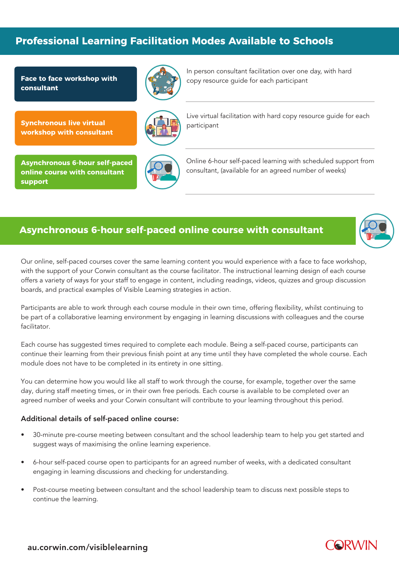## **Professional Learning Facilitation Modes Available to Schools**

**Face to face workshop with consultant**

**Synchronous live virtual workshop with consultant** 



In person consultant facilitation over one day, with hard copy resource guide for each participant



Live virtual facilitation with hard copy resource guide for each participant

**Asynchronous 6-hour self-paced online course with consultant support**



Online 6-hour self-paced learning with scheduled support from consultant, (available for an agreed number of weeks)

#### **Asynchronous 6-hour self-paced online course with consultant**



Our online, self-paced courses cover the same learning content you would experience with a face to face workshop, with the support of your Corwin consultant as the course facilitator. The instructional learning design of each course offers a variety of ways for your staff to engage in content, including readings, videos, quizzes and group discussion boards, and practical examples of Visible Learning strategies in action.

Participants are able to work through each course module in their own time, offering flexibility, whilst continuing to be part of a collaborative learning environment by engaging in learning discussions with colleagues and the course facilitator.

Each course has suggested times required to complete each module. Being a self-paced course, participants can continue their learning from their previous finish point at any time until they have completed the whole course. Each module does not have to be completed in its entirety in one sitting.

You can determine how you would like all staff to work through the course, for example, together over the same day, during staff meeting times, or in their own free periods. Each course is available to be completed over an agreed number of weeks and your Corwin consultant will contribute to your learning throughout this period.

#### Additional details of self-paced online course:

- 30-minute pre-course meeting between consultant and the school leadership team to help you get started and suggest ways of maximising the online learning experience.
- 6-hour self-paced course open to participants for an agreed number of weeks, with a dedicated consultant engaging in learning discussions and checking for understanding.
- Post-course meeting between consultant and the school leadership team to discuss next possible steps to continue the learning.

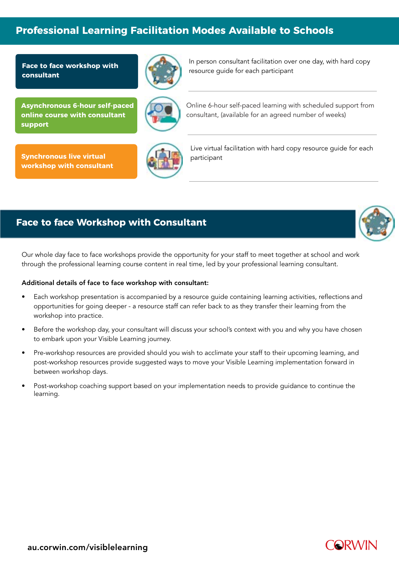## **Professional Learning Facilitation Modes Available to Schools**

**Face to face workshop with consultant**

**Asynchronous 6-hour self-paced online course with consultant support**

**Synchronous live virtual and a state of the contract of the participant workshop with consultant** 



In person consultant facilitation over one day, with hard copy resource guide for each participant



Online 6-hour self-paced learning with scheduled support from consultant, (available for an agreed number of weeks)



Live virtual facilitation with hard copy resource guide for each

#### **Face to face Workshop with Consultant**



Our whole day face to face workshops provide the opportunity for your staff to meet together at school and work through the professional learning course content in real time, led by your professional learning consultant.

#### Additional details of face to face workshop with consultant:

- Each workshop presentation is accompanied by a resource guide containing learning activities, reflections and opportunities for going deeper - a resource staff can refer back to as they transfer their learning from the workshop into practice.
- Before the workshop day, your consultant will discuss your school's context with you and why you have chosen to embark upon your Visible Learning journey.
- Pre-workshop resources are provided should you wish to acclimate your staff to their upcoming learning, and post-workshop resources provide suggested ways to move your Visible Learning implementation forward in between workshop days.
- Post-workshop coaching support based on your implementation needs to provide guidance to continue the learning.